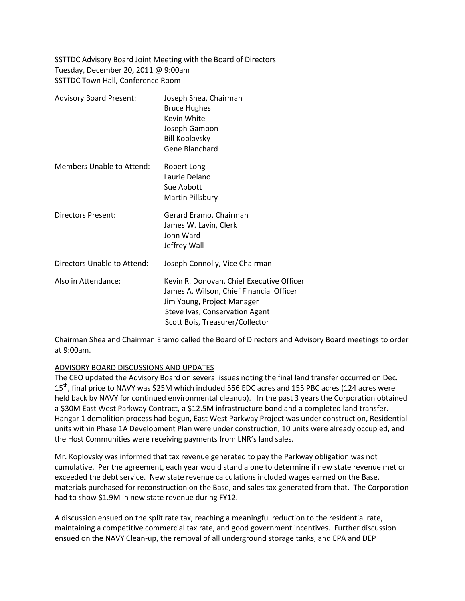SSTTDC Advisory Board Joint Meeting with the Board of Directors Tuesday, December 20, 2011 @ 9:00am SSTTDC Town Hall, Conference Room

| <b>Advisory Board Present:</b> | Joseph Shea, Chairman<br><b>Bruce Hughes</b><br>Kevin White<br>Joseph Gambon<br><b>Bill Koplovsky</b><br>Gene Blanchard                                                                  |
|--------------------------------|------------------------------------------------------------------------------------------------------------------------------------------------------------------------------------------|
| Members Unable to Attend:      | Robert Long<br>Laurie Delano<br>Sue Abbott<br>Martin Pillsbury                                                                                                                           |
| <b>Directors Present:</b>      | Gerard Eramo, Chairman<br>James W. Lavin, Clerk<br>John Ward<br>Jeffrey Wall                                                                                                             |
| Directors Unable to Attend:    | Joseph Connolly, Vice Chairman                                                                                                                                                           |
| Also in Attendance:            | Kevin R. Donovan, Chief Executive Officer<br>James A. Wilson, Chief Financial Officer<br>Jim Young, Project Manager<br>Steve Ivas, Conservation Agent<br>Scott Bois, Treasurer/Collector |

Chairman Shea and Chairman Eramo called the Board of Directors and Advisory Board meetings to order at 9:00am.

## ADVISORY BOARD DISCUSSIONS AND UPDATES

The CEO updated the Advisory Board on several issues noting the final land transfer occurred on Dec. 15<sup>th</sup>, final price to NAVY was \$25M which included 556 EDC acres and 155 PBC acres (124 acres were held back by NAVY for continued environmental cleanup). In the past 3 years the Corporation obtained a \$30M East West Parkway Contract, a \$12.5M infrastructure bond and a completed land transfer. Hangar 1 demolition process had begun, East West Parkway Project was under construction, Residential units within Phase 1A Development Plan were under construction, 10 units were already occupied, and the Host Communities were receiving payments from LNR's land sales.

Mr. Koplovsky was informed that tax revenue generated to pay the Parkway obligation was not cumulative. Per the agreement, each year would stand alone to determine if new state revenue met or exceeded the debt service. New state revenue calculations included wages earned on the Base, materials purchased for reconstruction on the Base, and sales tax generated from that. The Corporation had to show \$1.9M in new state revenue during FY12.

A discussion ensued on the split rate tax, reaching a meaningful reduction to the residential rate, maintaining a competitive commercial tax rate, and good government incentives. Further discussion ensued on the NAVY Clean-up, the removal of all underground storage tanks, and EPA and DEP